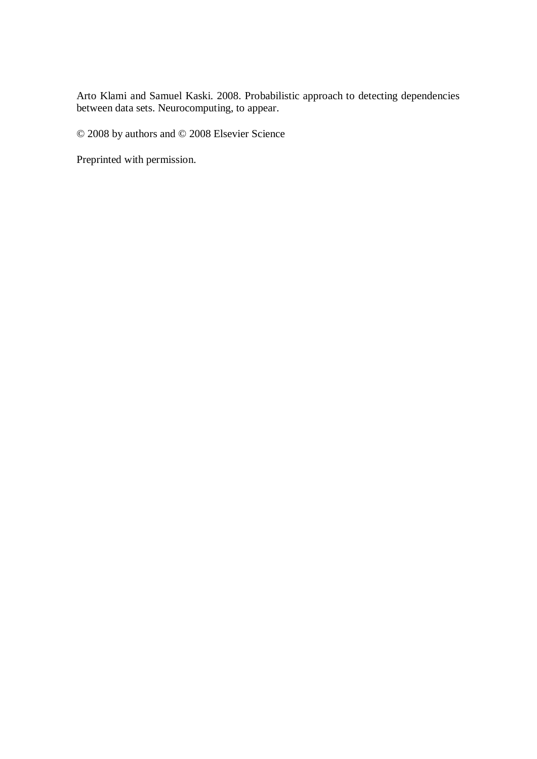Arto Klami and Samuel Kaski. 2008. Probabilistic approach to detecting dependencies between data sets. Neurocomputing, to appear.

© 2008 by authors and © 2008 Elsevier Science

Preprinted with permission.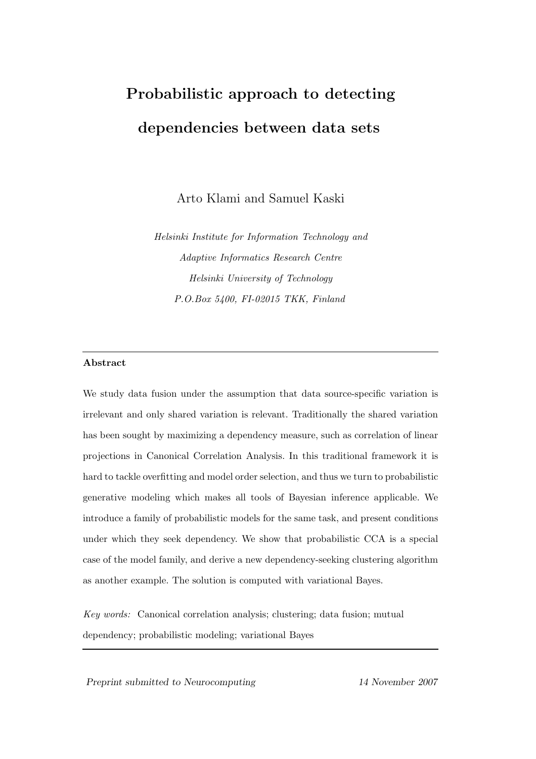# Probabilistic approach to detecting dependencies between data sets

Arto Klami and Samuel Kaski

Helsinki Institute for Information Technology and Adaptive Informatics Research Centre Helsinki University of Technology P.O.Box 5400, FI-02015 TKK, Finland

## Abstract

We study data fusion under the assumption that data source-specific variation is irrelevant and only shared variation is relevant. Traditionally the shared variation has been sought by maximizing a dependency measure, such as correlation of linear projections in Canonical Correlation Analysis. In this traditional framework it is hard to tackle overfitting and model order selection, and thus we turn to probabilistic generative modeling which makes all tools of Bayesian inference applicable. We introduce a family of probabilistic models for the same task, and present conditions under which they seek dependency. We show that probabilistic CCA is a special case of the model family, and derive a new dependency-seeking clustering algorithm as another example. The solution is computed with variational Bayes.

Key words: Canonical correlation analysis; clustering; data fusion; mutual dependency; probabilistic modeling; variational Bayes

Preprint submitted to Neurocomputing 14 November 2007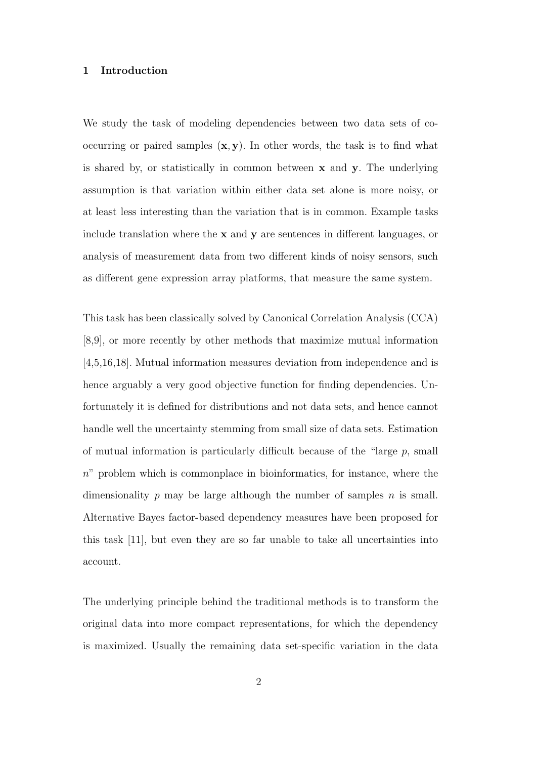#### 1 Introduction

We study the task of modeling dependencies between two data sets of cooccurring or paired samples  $(x, y)$ . In other words, the task is to find what is shared by, or statistically in common between  $x$  and  $y$ . The underlying assumption is that variation within either data set alone is more noisy, or at least less interesting than the variation that is in common. Example tasks include translation where the  $x$  and  $y$  are sentences in different languages, or analysis of measurement data from two different kinds of noisy sensors, such as different gene expression array platforms, that measure the same system.

This task has been classically solved by Canonical Correlation Analysis (CCA) [8,9], or more recently by other methods that maximize mutual information [4,5,16,18]. Mutual information measures deviation from independence and is hence arguably a very good objective function for finding dependencies. Unfortunately it is defined for distributions and not data sets, and hence cannot handle well the uncertainty stemming from small size of data sets. Estimation of mutual information is particularly difficult because of the "large  $p$ , small  $n$ " problem which is commonplace in bioinformatics, for instance, where the dimensionality p may be large although the number of samples  $n$  is small. Alternative Bayes factor-based dependency measures have been proposed for this task [11], but even they are so far unable to take all uncertainties into account.

The underlying principle behind the traditional methods is to transform the original data into more compact representations, for which the dependency is maximized. Usually the remaining data set-specific variation in the data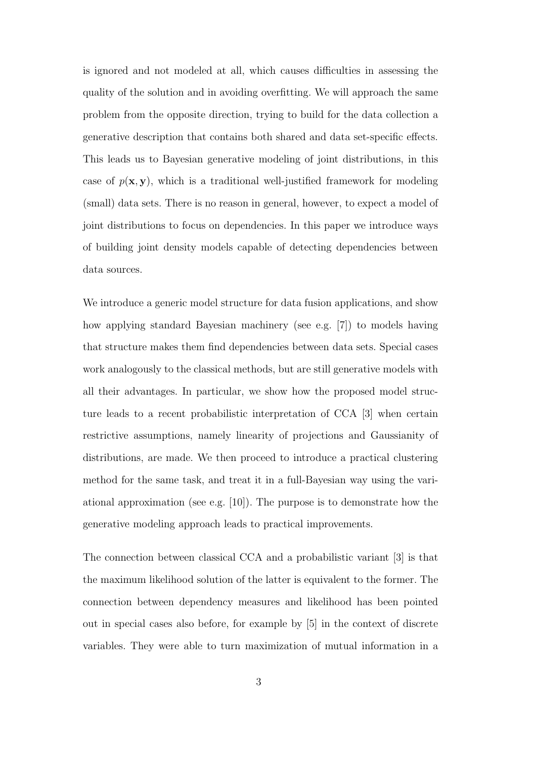is ignored and not modeled at all, which causes difficulties in assessing the quality of the solution and in avoiding overfitting. We will approach the same problem from the opposite direction, trying to build for the data collection a generative description that contains both shared and data set-specific effects. This leads us to Bayesian generative modeling of joint distributions, in this case of  $p(x, y)$ , which is a traditional well-justified framework for modeling (small) data sets. There is no reason in general, however, to expect a model of joint distributions to focus on dependencies. In this paper we introduce ways of building joint density models capable of detecting dependencies between data sources.

We introduce a generic model structure for data fusion applications, and show how applying standard Bayesian machinery (see e.g. [7]) to models having that structure makes them find dependencies between data sets. Special cases work analogously to the classical methods, but are still generative models with all their advantages. In particular, we show how the proposed model structure leads to a recent probabilistic interpretation of CCA [3] when certain restrictive assumptions, namely linearity of projections and Gaussianity of distributions, are made. We then proceed to introduce a practical clustering method for the same task, and treat it in a full-Bayesian way using the variational approximation (see e.g.  $[10]$ ). The purpose is to demonstrate how the generative modeling approach leads to practical improvements.

The connection between classical CCA and a probabilistic variant [3] is that the maximum likelihood solution of the latter is equivalent to the former. The connection between dependency measures and likelihood has been pointed out in special cases also before, for example by [5] in the context of discrete variables. They were able to turn maximization of mutual information in a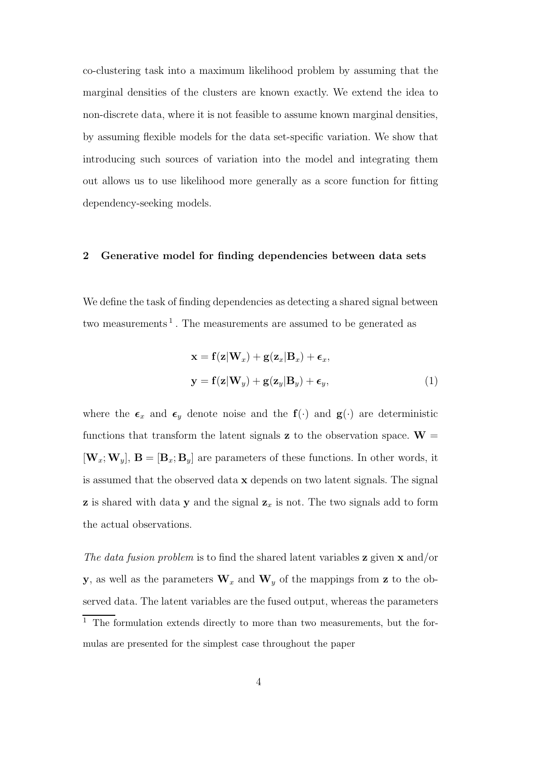co-clustering task into a maximum likelihood problem by assuming that the marginal densities of the clusters are known exactly. We extend the idea to non-discrete data, where it is not feasible to assume known marginal densities, by assuming flexible models for the data set-specific variation. We show that introducing such sources of variation into the model and integrating them out allows us to use likelihood more generally as a score function for fitting dependency-seeking models.

## 2 Generative model for finding dependencies between data sets

We define the task of finding dependencies as detecting a shared signal between two measurements<sup>1</sup>. The measurements are assumed to be generated as

$$
\mathbf{x} = \mathbf{f}(\mathbf{z}|\mathbf{W}_x) + \mathbf{g}(\mathbf{z}_x|\mathbf{B}_x) + \boldsymbol{\epsilon}_x,
$$
  

$$
\mathbf{y} = \mathbf{f}(\mathbf{z}|\mathbf{W}_y) + \mathbf{g}(\mathbf{z}_y|\mathbf{B}_y) + \boldsymbol{\epsilon}_y,
$$
 (1)

where the  $\epsilon_x$  and  $\epsilon_y$  denote noise and the  $f(\cdot)$  and  $g(\cdot)$  are deterministic functions that transform the latent signals **z** to the observation space.  $W =$  $[\mathbf{W}_x; \mathbf{W}_y], \mathbf{B} = [\mathbf{B}_x; \mathbf{B}_y]$  are parameters of these functions. In other words, it is assumed that the observed data x depends on two latent signals. The signal **z** is shared with data **y** and the signal  $z_x$  is not. The two signals add to form the actual observations.

The data fusion problem is to find the shared latent variables  $z$  given  $x$  and/or y, as well as the parameters  $\mathbf{W}_x$  and  $\mathbf{W}_y$  of the mappings from z to the observed data. The latent variables are the fused output, whereas the parameters  $^{\rm 1}$  The formulation extends directly to more than two measurements, but the formulas are presented for the simplest case throughout the paper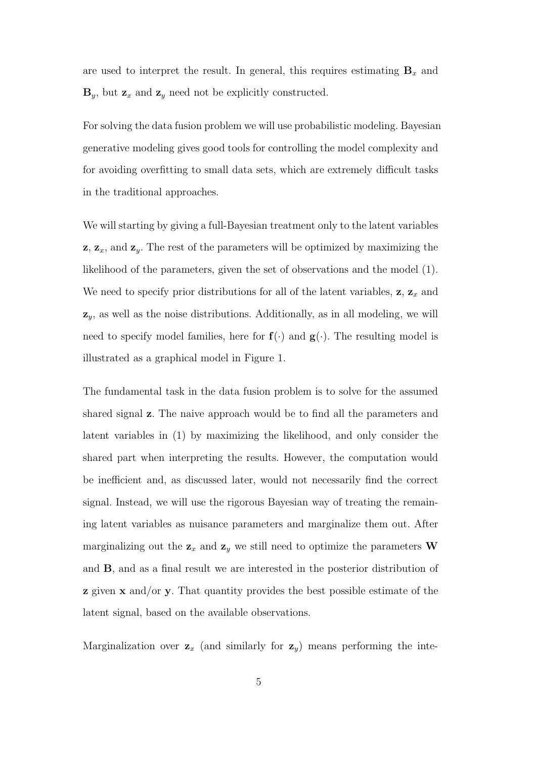are used to interpret the result. In general, this requires estimating  $B_x$  and  $\mathbf{B}_y$ , but  $\mathbf{z}_x$  and  $\mathbf{z}_y$  need not be explicitly constructed.

For solving the data fusion problem we will use probabilistic modeling. Bayesian generative modeling gives good tools for controlling the model complexity and for avoiding overfitting to small data sets, which are extremely difficult tasks in the traditional approaches.

We will starting by giving a full-Bayesian treatment only to the latent variables  $z, z_x$ , and  $z_y$ . The rest of the parameters will be optimized by maximizing the likelihood of the parameters, given the set of observations and the model (1). We need to specify prior distributions for all of the latent variables,  $z, z_x$  and  $z_y$ , as well as the noise distributions. Additionally, as in all modeling, we will need to specify model families, here for  $f(\cdot)$  and  $g(\cdot)$ . The resulting model is illustrated as a graphical model in Figure 1.

The fundamental task in the data fusion problem is to solve for the assumed shared signal z. The naive approach would be to find all the parameters and latent variables in (1) by maximizing the likelihood, and only consider the shared part when interpreting the results. However, the computation would be inefficient and, as discussed later, would not necessarily find the correct signal. Instead, we will use the rigorous Bayesian way of treating the remaining latent variables as nuisance parameters and marginalize them out. After marginalizing out the  $z_x$  and  $z_y$  we still need to optimize the parameters W and B, and as a final result we are interested in the posterior distribution of  $\boldsymbol{z}$  given  $\boldsymbol{x}$  and/or  $\boldsymbol{y}$ . That quantity provides the best possible estimate of the latent signal, based on the available observations.

Marginalization over  $z_x$  (and similarly for  $z_y$ ) means performing the inte-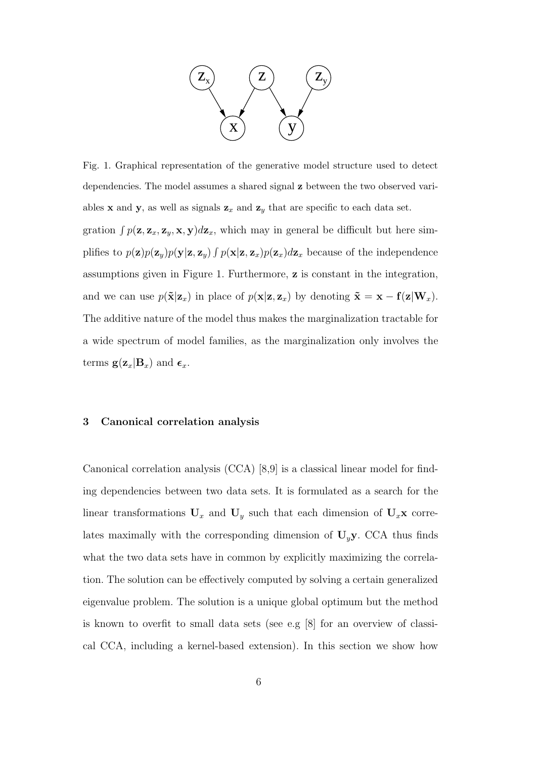

Fig. 1. Graphical representation of the generative model structure used to detect dependencies. The model assumes a shared signal z between the two observed variables **x** and **y**, as well as signals  $z_x$  and  $z_y$  that are specific to each data set. gration  $\int p(\mathbf{z}, \mathbf{z}_x, \mathbf{z}_y, \mathbf{x}, \mathbf{y}) d\mathbf{z}_x$ , which may in general be difficult but here simplifies to  $p(\mathbf{z})p(\mathbf{z}_y)p(\mathbf{y}|\mathbf{z},\mathbf{z}_y) \int p(\mathbf{x}|\mathbf{z},\mathbf{z}_x)p(\mathbf{z}_x) d\mathbf{z}_x$  because of the independence assumptions given in Figure 1. Furthermore, z is constant in the integration, and we can use  $p(\tilde{\mathbf{x}}|\mathbf{z}_x)$  in place of  $p(\mathbf{x}|\mathbf{z}, \mathbf{z}_x)$  by denoting  $\tilde{\mathbf{x}} = \mathbf{x} - \mathbf{f}(\mathbf{z}|\mathbf{W}_x)$ . The additive nature of the model thus makes the marginalization tractable for a wide spectrum of model families, as the marginalization only involves the terms  $g(z_x|B_x)$  and  $\epsilon_x$ .

#### 3 Canonical correlation analysis

Canonical correlation analysis (CCA) [8,9] is a classical linear model for finding dependencies between two data sets. It is formulated as a search for the linear transformations  $\mathbf{U}_x$  and  $\mathbf{U}_y$  such that each dimension of  $\mathbf{U}_x\mathbf{x}$  correlates maximally with the corresponding dimension of  $U_y$ y. CCA thus finds what the two data sets have in common by explicitly maximizing the correlation. The solution can be effectively computed by solving a certain generalized eigenvalue problem. The solution is a unique global optimum but the method is known to overfit to small data sets (see e.g [8] for an overview of classical CCA, including a kernel-based extension). In this section we show how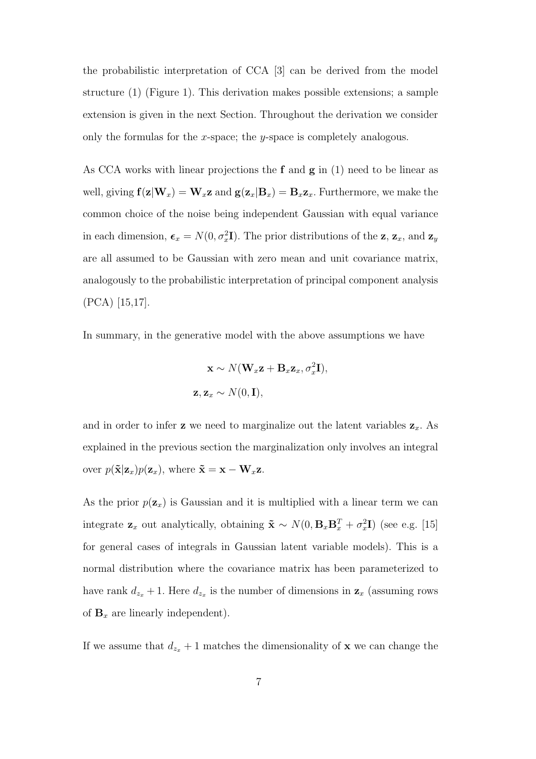the probabilistic interpretation of CCA [3] can be derived from the model structure (1) (Figure 1). This derivation makes possible extensions; a sample extension is given in the next Section. Throughout the derivation we consider only the formulas for the x-space; the y-space is completely analogous.

As CCA works with linear projections the  $f$  and  $g$  in  $(1)$  need to be linear as well, giving  $f(z|W_x) = W_x z$  and  $g(z_x|B_x) = B_x z_x$ . Furthermore, we make the common choice of the noise being independent Gaussian with equal variance in each dimension,  $\epsilon_x = N(0, \sigma_x^2 I)$ . The prior distributions of the z,  $z_x$ , and  $z_y$ are all assumed to be Gaussian with zero mean and unit covariance matrix, analogously to the probabilistic interpretation of principal component analysis (PCA) [15,17].

In summary, in the generative model with the above assumptions we have

$$
\mathbf{x} \sim N(\mathbf{W}_x \mathbf{z} + \mathbf{B}_x \mathbf{z}_x, \sigma_x^2 \mathbf{I}),
$$
  

$$
\mathbf{z}, \mathbf{z}_x \sim N(0, \mathbf{I}),
$$

and in order to infer **z** we need to marginalize out the latent variables  $z_x$ . As explained in the previous section the marginalization only involves an integral over  $p(\tilde{\mathbf{x}}|\mathbf{z}_x)p(\mathbf{z}_x)$ , where  $\tilde{\mathbf{x}} = \mathbf{x} - \mathbf{W}_x\mathbf{z}$ .

As the prior  $p(\mathbf{z}_x)$  is Gaussian and it is multiplied with a linear term we can integrate  $\mathbf{z}_x$  out analytically, obtaining  $\tilde{\mathbf{x}} \sim N(0, \mathbf{B}_x \mathbf{B}_x^T + \sigma_x^2 \mathbf{I})$  (see e.g. [15] for general cases of integrals in Gaussian latent variable models). This is a normal distribution where the covariance matrix has been parameterized to have rank  $d_{z_x} + 1$ . Here  $d_{z_x}$  is the number of dimensions in  $z_x$  (assuming rows of  $\mathbf{B}_x$  are linearly independent).

If we assume that  $d_{z_x} + 1$  matches the dimensionality of **x** we can change the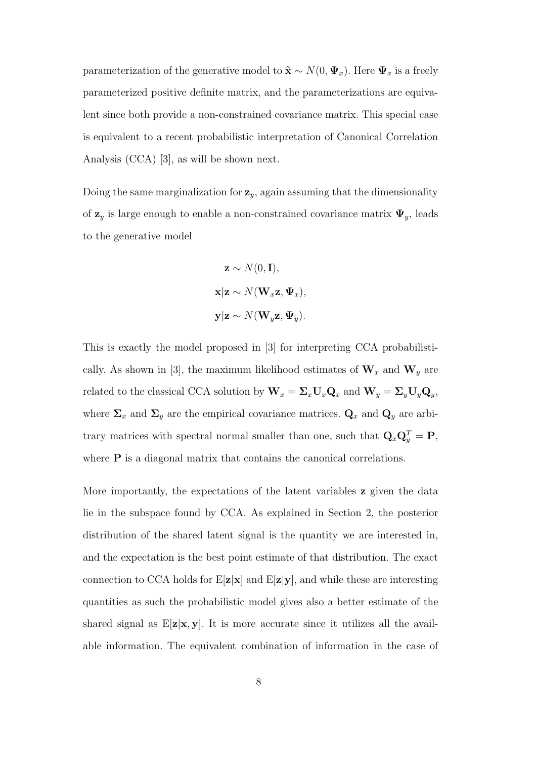parameterization of the generative model to  $\tilde{\mathbf{x}} \sim N(0, \Psi_x)$ . Here  $\Psi_x$  is a freely parameterized positive definite matrix, and the parameterizations are equivalent since both provide a non-constrained covariance matrix. This special case is equivalent to a recent probabilistic interpretation of Canonical Correlation Analysis (CCA) [3], as will be shown next.

Doing the same marginalization for  $z_y$ , again assuming that the dimensionality of  $z_y$  is large enough to enable a non-constrained covariance matrix  $\Psi_y$ , leads to the generative model

$$
\mathbf{z} \sim N(0, \mathbf{I}),
$$
  

$$
\mathbf{x} | \mathbf{z} \sim N(\mathbf{W}_x \mathbf{z}, \mathbf{\Psi}_x),
$$
  

$$
\mathbf{y} | \mathbf{z} \sim N(\mathbf{W}_y \mathbf{z}, \mathbf{\Psi}_y).
$$

This is exactly the model proposed in [3] for interpreting CCA probabilistically. As shown in [3], the maximum likelihood estimates of  $\mathbf{W}_x$  and  $\mathbf{W}_y$  are related to the classical CCA solution by  $\mathbf{W}_x = \Sigma_x \mathbf{U}_x \mathbf{Q}_x$  and  $\mathbf{W}_y = \Sigma_y \mathbf{U}_y \mathbf{Q}_y$ , where  $\Sigma_x$  and  $\Sigma_y$  are the empirical covariance matrices.  $\mathbf{Q}_x$  and  $\mathbf{Q}_y$  are arbitrary matrices with spectral normal smaller than one, such that  $\mathbf{Q}_x \mathbf{Q}_y^T = \mathbf{P}$ , where **P** is a diagonal matrix that contains the canonical correlations.

More importantly, the expectations of the latent variables **z** given the data lie in the subspace found by CCA. As explained in Section 2, the posterior distribution of the shared latent signal is the quantity we are interested in, and the expectation is the best point estimate of that distribution. The exact connection to CCA holds for  $E[\mathbf{z}|\mathbf{x}]$  and  $E[\mathbf{z}|\mathbf{y}]$ , and while these are interesting quantities as such the probabilistic model gives also a better estimate of the shared signal as  $E[\mathbf{z}|\mathbf{x}, \mathbf{y}]$ . It is more accurate since it utilizes all the available information. The equivalent combination of information in the case of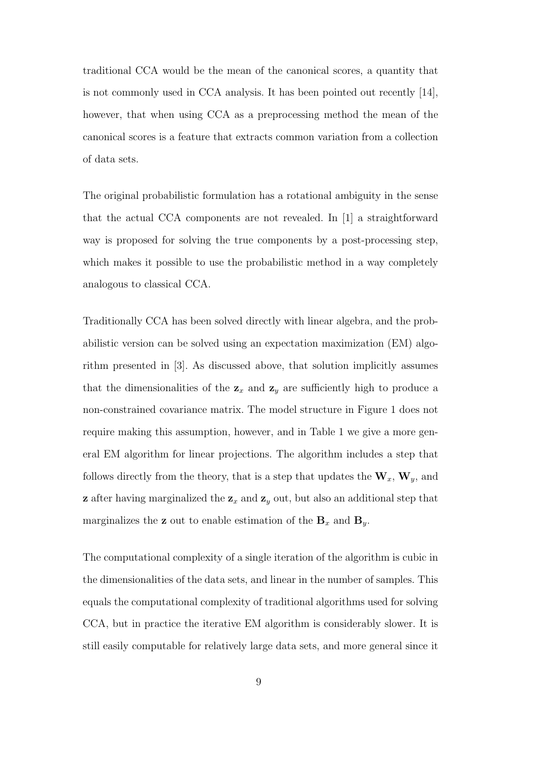traditional CCA would be the mean of the canonical scores, a quantity that is not commonly used in CCA analysis. It has been pointed out recently [14], however, that when using CCA as a preprocessing method the mean of the canonical scores is a feature that extracts common variation from a collection of data sets.

The original probabilistic formulation has a rotational ambiguity in the sense that the actual CCA components are not revealed. In [1] a straightforward way is proposed for solving the true components by a post-processing step, which makes it possible to use the probabilistic method in a way completely analogous to classical CCA.

Traditionally CCA has been solved directly with linear algebra, and the probabilistic version can be solved using an expectation maximization (EM) algorithm presented in [3]. As discussed above, that solution implicitly assumes that the dimensionalities of the  $z_x$  and  $z_y$  are sufficiently high to produce a non-constrained covariance matrix. The model structure in Figure 1 does not require making this assumption, however, and in Table 1 we give a more general EM algorithm for linear projections. The algorithm includes a step that follows directly from the theory, that is a step that updates the  $W_x$ ,  $W_y$ , and **z** after having marginalized the  $z_x$  and  $z_y$  out, but also an additional step that marginalizes the **z** out to enable estimation of the  $B_x$  and  $B_y$ .

The computational complexity of a single iteration of the algorithm is cubic in the dimensionalities of the data sets, and linear in the number of samples. This equals the computational complexity of traditional algorithms used for solving CCA, but in practice the iterative EM algorithm is considerably slower. It is still easily computable for relatively large data sets, and more general since it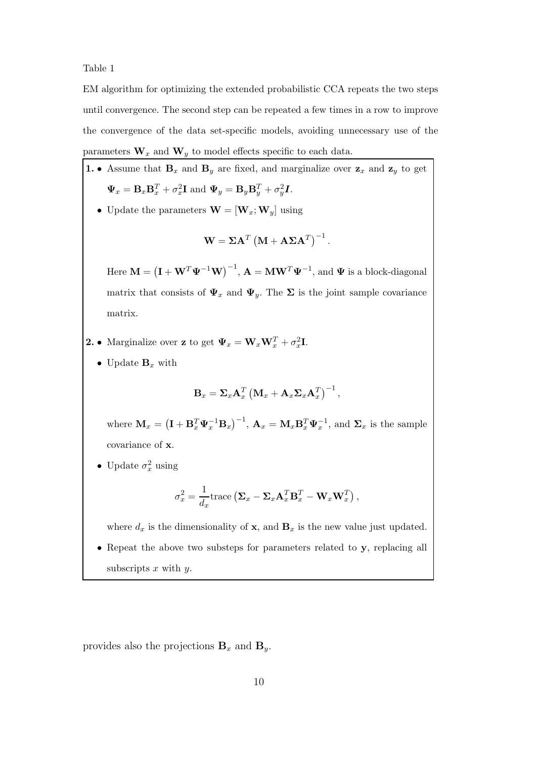Table 1

EM algorithm for optimizing the extended probabilistic CCA repeats the two steps until convergence. The second step can be repeated a few times in a row to improve the convergence of the data set-specific models, avoiding unnecessary use of the parameters  $\mathbf{W}_x$  and  $\mathbf{W}_y$  to model effects specific to each data.

\n- **1.** • Assume that 
$$
\mathbf{B}_x
$$
 and  $\mathbf{B}_y$  are fixed, and marginalize over  $\mathbf{z}_x$  and  $\mathbf{z}_y$  to get  $\mathbf{\Psi}_x = \mathbf{B}_x \mathbf{B}_x^T + \sigma_x^2 \mathbf{I}$  and  $\mathbf{\Psi}_y = \mathbf{B}_y \mathbf{B}_y^T + \sigma_y^2 \mathbf{I}$ .
\n- Update the parameters  $\mathbf{W} = [\mathbf{W}_x; \mathbf{W}_y]$  using
\n

$$
\mathbf{W} = \boldsymbol{\Sigma} \mathbf{A}^T \left( \mathbf{M} + \mathbf{A} \boldsymbol{\Sigma} \mathbf{A}^T \right)^{-1}.
$$

Here  $\mathbf{M} = (\mathbf{I} + \mathbf{W}^T \boldsymbol{\Psi}^{-1} \mathbf{W})^{-1}$ ,  $\mathbf{A} = \mathbf{M} \mathbf{W}^T \boldsymbol{\Psi}^{-1}$ , and  $\boldsymbol{\Psi}$  is a block-diagonal matrix that consists of  $\Psi_x$  and  $\Psi_y$ . The  $\Sigma$  is the joint sample covariance matrix.

**2.** • Marginalize over **z** to get  $\Psi_x = \mathbf{W}_x \mathbf{W}_x^T + \sigma_x^2 \mathbf{I}$ .

 $\bullet\,$  Update  ${\bf B}_x$  with

$$
\mathbf{B}_x = \mathbf{\Sigma}_x \mathbf{A}_x^T \left( \mathbf{M}_x + \mathbf{A}_x \mathbf{\Sigma}_x \mathbf{A}_x^T \right)^{-1},
$$

where  $\mathbf{M}_x = \left(\mathbf{I} + \mathbf{B}_x^T \mathbf{\Psi}_x^{-1} \mathbf{B}_x\right)^{-1}$ ,  $\mathbf{A}_x = \mathbf{M}_x \mathbf{B}_x^T \mathbf{\Psi}_x^{-1}$ , and  $\mathbf{\Sigma}_x$  is the sample covariance of x.

• Update  $\sigma_x^2$  using

$$
\sigma_x^2 = \frac{1}{d_x} \text{trace} \left( \mathbf{\Sigma}_x - \mathbf{\Sigma}_x \mathbf{A}_x^T \mathbf{B}_x^T - \mathbf{W}_x \mathbf{W}_x^T \right),
$$

where  $d_x$  is the dimensionality of **x**, and  $\mathbf{B}_x$  is the new value just updated.

Repeat the above two substeps for parameters related to  $y$ , replacing all subscripts  $x$  with  $y$ .

provides also the projections  $\mathbf{B}_x$  and  $\mathbf{B}_y$ .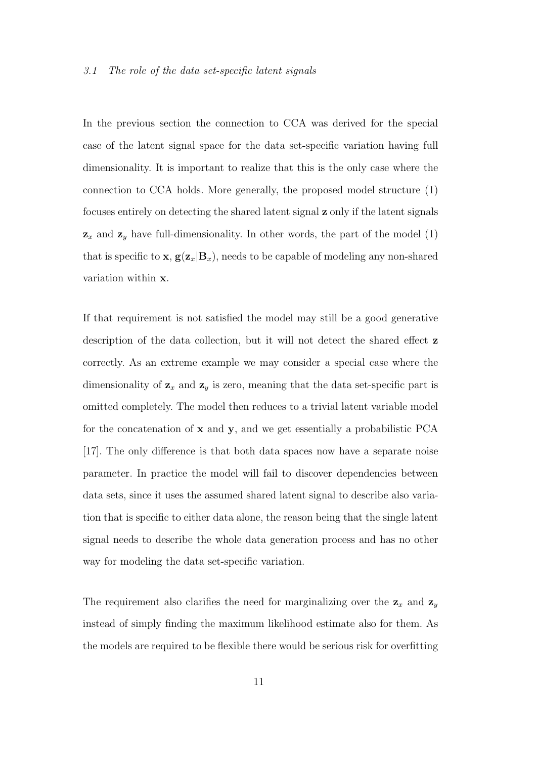#### 3.1 The role of the data set-specific latent signals

In the previous section the connection to CCA was derived for the special case of the latent signal space for the data set-specific variation having full dimensionality. It is important to realize that this is the only case where the connection to CCA holds. More generally, the proposed model structure (1) focuses entirely on detecting the shared latent signal z only if the latent signals  $z_x$  and  $z_y$  have full-dimensionality. In other words, the part of the model (1) that is specific to **x**,  $g(z_x|B_x)$ , needs to be capable of modeling any non-shared variation within x.

If that requirement is not satisfied the model may still be a good generative description of the data collection, but it will not detect the shared effect **z** correctly. As an extreme example we may consider a special case where the dimensionality of  $z_x$  and  $z_y$  is zero, meaning that the data set-specific part is omitted completely. The model then reduces to a trivial latent variable model for the concatenation of  $x$  and  $y$ , and we get essentially a probabilistic PCA [17]. The only difference is that both data spaces now have a separate noise parameter. In practice the model will fail to discover dependencies between data sets, since it uses the assumed shared latent signal to describe also variation that is specific to either data alone, the reason being that the single latent signal needs to describe the whole data generation process and has no other way for modeling the data set-specific variation.

The requirement also clarifies the need for marginalizing over the  $z_x$  and  $z_y$ instead of simply finding the maximum likelihood estimate also for them. As the models are required to be flexible there would be serious risk for overfitting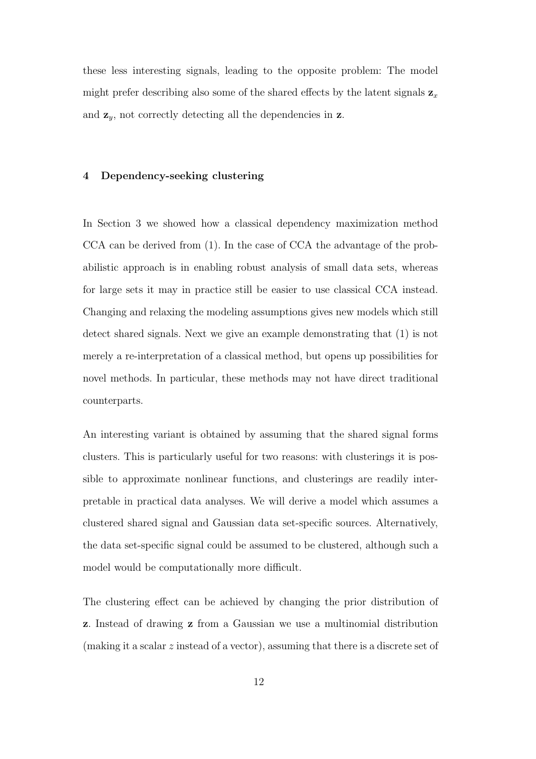these less interesting signals, leading to the opposite problem: The model might prefer describing also some of the shared effects by the latent signals  $z_x$ and  $z_y$ , not correctly detecting all the dependencies in  $z$ .

## 4 Dependency-seeking clustering

In Section 3 we showed how a classical dependency maximization method CCA can be derived from (1). In the case of CCA the advantage of the probabilistic approach is in enabling robust analysis of small data sets, whereas for large sets it may in practice still be easier to use classical CCA instead. Changing and relaxing the modeling assumptions gives new models which still detect shared signals. Next we give an example demonstrating that (1) is not merely a re-interpretation of a classical method, but opens up possibilities for novel methods. In particular, these methods may not have direct traditional counterparts.

An interesting variant is obtained by assuming that the shared signal forms clusters. This is particularly useful for two reasons: with clusterings it is possible to approximate nonlinear functions, and clusterings are readily interpretable in practical data analyses. We will derive a model which assumes a clustered shared signal and Gaussian data set-specific sources. Alternatively, the data set-specific signal could be assumed to be clustered, although such a model would be computationally more difficult.

The clustering effect can be achieved by changing the prior distribution of z. Instead of drawing z from a Gaussian we use a multinomial distribution (making it a scalar z instead of a vector), assuming that there is a discrete set of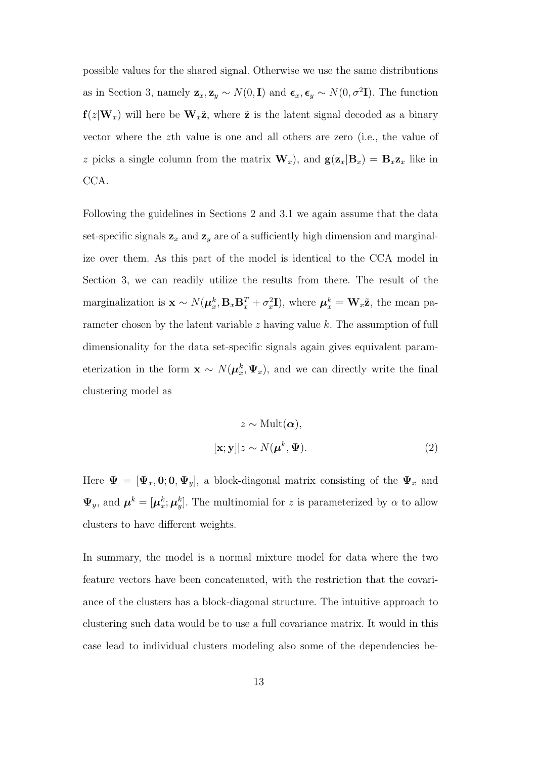possible values for the shared signal. Otherwise we use the same distributions as in Section 3, namely  $\mathbf{z}_x, \mathbf{z}_y \sim N(0, \mathbf{I})$  and  $\boldsymbol{\epsilon}_x, \boldsymbol{\epsilon}_y \sim N(0, \sigma^2 \mathbf{I})$ . The function  $f(z|W_x)$  will here be  $W_x\tilde{z}$ , where  $\tilde{z}$  is the latent signal decoded as a binary vector where the zth value is one and all others are zero (i.e., the value of z picks a single column from the matrix  $\mathbf{W}_x$ , and  $\mathbf{g}(\mathbf{z}_x|\mathbf{B}_x) = \mathbf{B}_x\mathbf{z}_x$  like in CCA.

Following the guidelines in Sections 2 and 3.1 we again assume that the data set-specific signals  $z_x$  and  $z_y$  are of a sufficiently high dimension and marginalize over them. As this part of the model is identical to the CCA model in Section 3, we can readily utilize the results from there. The result of the marginalization is  $\mathbf{x} \sim N(\boldsymbol{\mu}_x^k, \mathbf{B}_x \mathbf{B}_x^T + \sigma_x^2 \mathbf{I})$ , where  $\boldsymbol{\mu}_x^k = \mathbf{W}_x \tilde{\mathbf{z}}$ , the mean parameter chosen by the latent variable  $z$  having value  $k$ . The assumption of full dimensionality for the data set-specific signals again gives equivalent parameterization in the form  $\mathbf{x} \sim N(\boldsymbol{\mu}_x^k, \boldsymbol{\Psi}_x)$ , and we can directly write the final clustering model as

$$
z \sim \text{Mult}(\alpha),
$$
  

$$
[\mathbf{x}; \mathbf{y}]|z \sim N(\boldsymbol{\mu}^k, \boldsymbol{\Psi}).
$$
 (2)

Here  $\Psi = [\Psi_x, 0; 0, \Psi_y]$ , a block-diagonal matrix consisting of the  $\Psi_x$  and  $\Psi_y$ , and  $\boldsymbol{\mu}^k = [\boldsymbol{\mu}^k_x; \boldsymbol{\mu}^k_y]$ . The multinomial for z is parameterized by  $\alpha$  to allow clusters to have different weights.

In summary, the model is a normal mixture model for data where the two feature vectors have been concatenated, with the restriction that the covariance of the clusters has a block-diagonal structure. The intuitive approach to clustering such data would be to use a full covariance matrix. It would in this case lead to individual clusters modeling also some of the dependencies be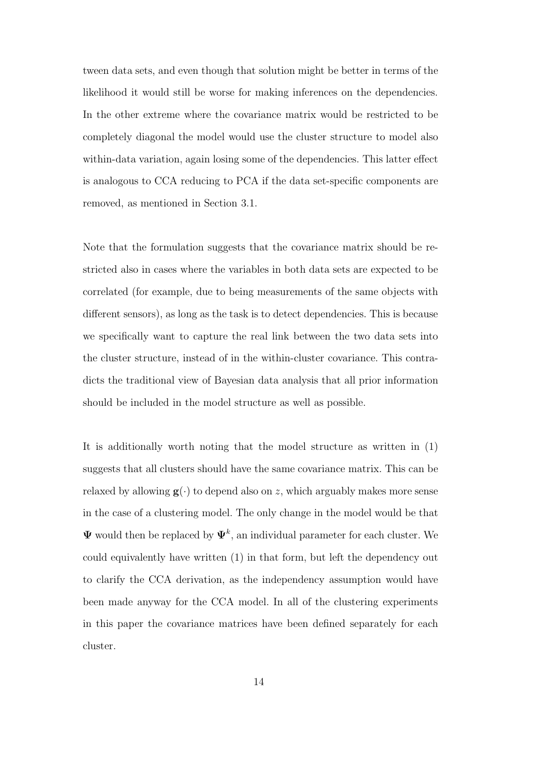tween data sets, and even though that solution might be better in terms of the likelihood it would still be worse for making inferences on the dependencies. In the other extreme where the covariance matrix would be restricted to be completely diagonal the model would use the cluster structure to model also within-data variation, again losing some of the dependencies. This latter effect is analogous to CCA reducing to PCA if the data set-specific components are removed, as mentioned in Section 3.1.

Note that the formulation suggests that the covariance matrix should be restricted also in cases where the variables in both data sets are expected to be correlated (for example, due to being measurements of the same objects with different sensors), as long as the task is to detect dependencies. This is because we specifically want to capture the real link between the two data sets into the cluster structure, instead of in the within-cluster covariance. This contradicts the traditional view of Bayesian data analysis that all prior information should be included in the model structure as well as possible.

It is additionally worth noting that the model structure as written in (1) suggests that all clusters should have the same covariance matrix. This can be relaxed by allowing  $g(\cdot)$  to depend also on z, which arguably makes more sense in the case of a clustering model. The only change in the model would be that  $\Psi$  would then be replaced by  $\Psi^k$ , an individual parameter for each cluster. We could equivalently have written (1) in that form, but left the dependency out to clarify the CCA derivation, as the independency assumption would have been made anyway for the CCA model. In all of the clustering experiments in this paper the covariance matrices have been defined separately for each cluster.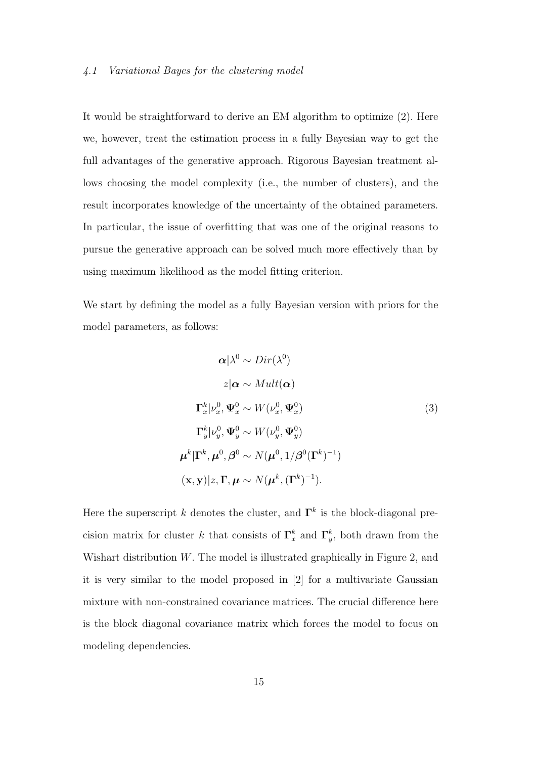It would be straightforward to derive an EM algorithm to optimize (2). Here we, however, treat the estimation process in a fully Bayesian way to get the full advantages of the generative approach. Rigorous Bayesian treatment allows choosing the model complexity (i.e., the number of clusters), and the result incorporates knowledge of the uncertainty of the obtained parameters. In particular, the issue of overfitting that was one of the original reasons to pursue the generative approach can be solved much more effectively than by using maximum likelihood as the model fitting criterion.

We start by defining the model as a fully Bayesian version with priors for the model parameters, as follows:

$$
\alpha|\lambda^{0} \sim Dir(\lambda^{0})
$$
  
\n
$$
z|\alpha \sim Mult(\alpha)
$$
  
\n
$$
\Gamma_{x}^{k}|\nu_{x}^{0}, \Psi_{x}^{0} \sim W(\nu_{x}^{0}, \Psi_{x}^{0})
$$
  
\n
$$
\Gamma_{y}^{k}|\nu_{y}^{0}, \Psi_{y}^{0} \sim W(\nu_{y}^{0}, \Psi_{y}^{0})
$$
  
\n
$$
\mu^{k}|\Gamma^{k}, \mu^{0}, \beta^{0} \sim N(\mu^{0}, 1/\beta^{0}(\Gamma^{k})^{-1})
$$
  
\n
$$
(\mathbf{x}, \mathbf{y})|z, \Gamma, \mu \sim N(\mu^{k}, (\Gamma^{k})^{-1}).
$$

Here the superscript k denotes the cluster, and  $\Gamma^k$  is the block-diagonal precision matrix for cluster k that consists of  $\Gamma_x^k$  and  $\Gamma_y^k$ , both drawn from the Wishart distribution W. The model is illustrated graphically in Figure 2, and it is very similar to the model proposed in [2] for a multivariate Gaussian mixture with non-constrained covariance matrices. The crucial difference here is the block diagonal covariance matrix which forces the model to focus on modeling dependencies.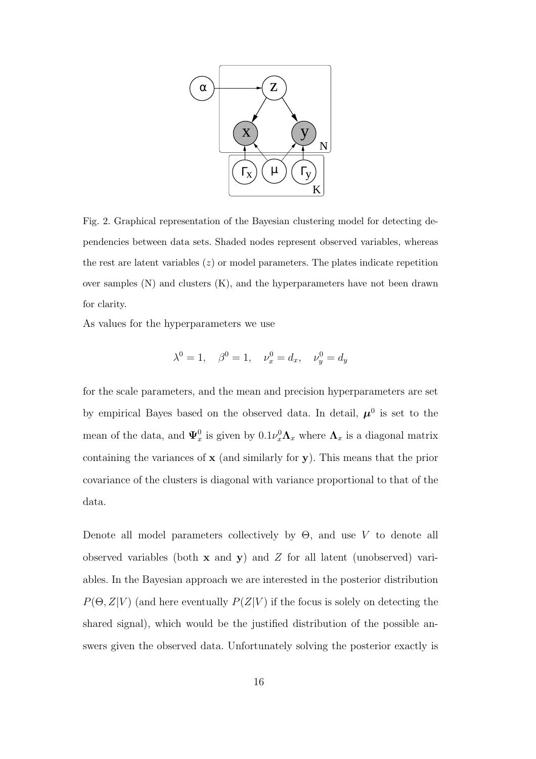

Fig. 2. Graphical representation of the Bayesian clustering model for detecting dependencies between data sets. Shaded nodes represent observed variables, whereas the rest are latent variables  $(z)$  or model parameters. The plates indicate repetition over samples  $(N)$  and clusters  $(K)$ , and the hyperparameters have not been drawn for clarity.

As values for the hyperparameters we use

$$
\lambda^0 = 1
$$
,  $\beta^0 = 1$ ,  $\nu_x^0 = d_x$ ,  $\nu_y^0 = d_y$ 

for the scale parameters, and the mean and precision hyperparameters are set by empirical Bayes based on the observed data. In detail,  $\mu^0$  is set to the mean of the data, and  $\Psi_x^0$  is given by  $0.1\nu_x^0 \Lambda_x$  where  $\Lambda_x$  is a diagonal matrix containing the variances of  $x$  (and similarly for  $y$ ). This means that the prior covariance of the clusters is diagonal with variance proportional to that of the data.

Denote all model parameters collectively by  $\Theta$ , and use V to denote all observed variables (both  $x$  and  $y$ ) and  $Z$  for all latent (unobserved) variables. In the Bayesian approach we are interested in the posterior distribution  $P(\Theta, Z|V)$  (and here eventually  $P(Z|V)$  if the focus is solely on detecting the shared signal), which would be the justified distribution of the possible answers given the observed data. Unfortunately solving the posterior exactly is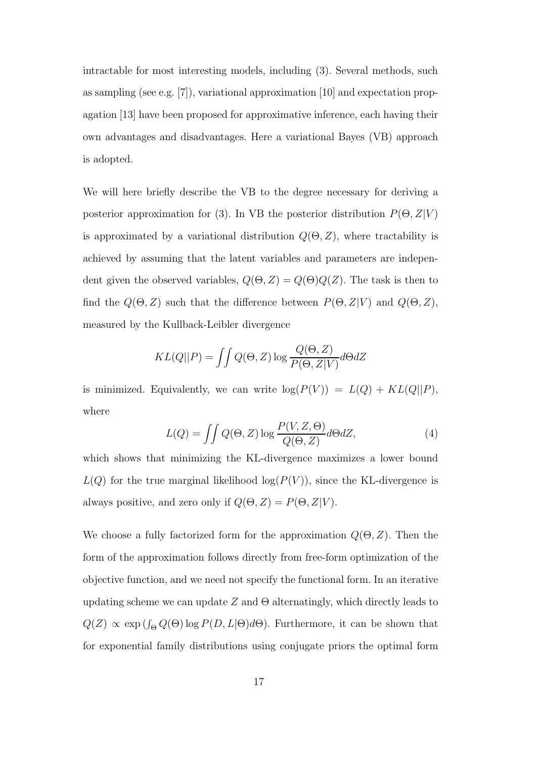intractable for most interesting models, including (3). Several methods, such as sampling (see e.g. [7]), variational approximation [10] and expectation propagation [13] have been proposed for approximative inference, each having their own advantages and disadvantages. Here a variational Bayes (VB) approach is adopted.

We will here briefly describe the VB to the degree necessary for deriving a posterior approximation for (3). In VB the posterior distribution  $P(\Theta, Z|V)$ is approximated by a variational distribution  $Q(\Theta, Z)$ , where tractability is achieved by assuming that the latent variables and parameters are independent given the observed variables,  $Q(\Theta, Z) = Q(\Theta)Q(Z)$ . The task is then to find the  $Q(\Theta, Z)$  such that the difference between  $P(\Theta, Z|V)$  and  $Q(\Theta, Z)$ , measured by the Kullback-Leibler divergence

$$
KL(Q||P) = \iint Q(\Theta, Z) \log \frac{Q(\Theta, Z)}{P(\Theta, Z|V)} d\Theta dZ
$$

is minimized. Equivalently, we can write  $log(P(V)) = L(Q) + KL(Q||P)$ , where

$$
L(Q) = \iint Q(\Theta, Z) \log \frac{P(V, Z, \Theta)}{Q(\Theta, Z)} d\Theta dZ, \tag{4}
$$

which shows that minimizing the KL-divergence maximizes a lower bound  $L(Q)$  for the true marginal likelihood  $log(P(V))$ , since the KL-divergence is always positive, and zero only if  $Q(\Theta,Z) = P(\Theta,Z|V)$ .

We choose a fully factorized form for the approximation  $Q(\Theta, Z)$ . Then the form of the approximation follows directly from free-form optimization of the objective function, and we need not specify the functional form. In an iterative updating scheme we can update  $Z$  and  $\Theta$  alternatingly, which directly leads to  $Q(Z) \propto \exp\left(\int_{\Theta} Q(\Theta) \log P(D, L|\Theta) d\Theta\right)$ . Furthermore, it can be shown that for exponential family distributions using conjugate priors the optimal form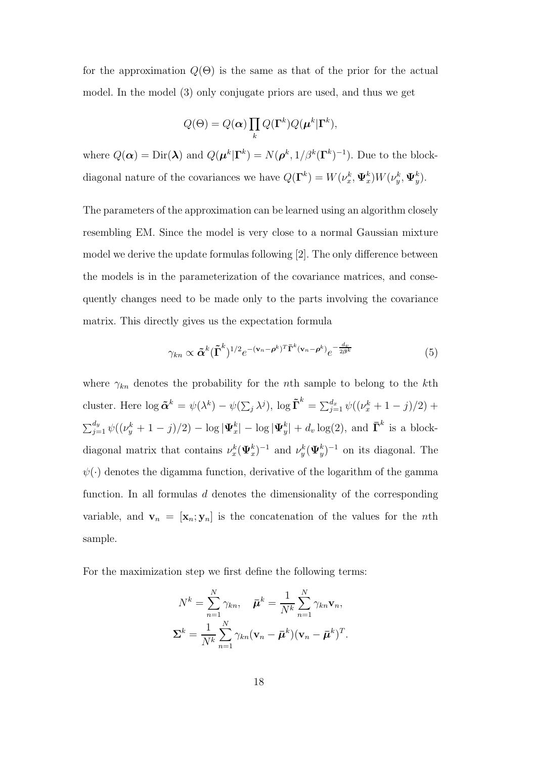for the approximation  $Q(\Theta)$  is the same as that of the prior for the actual model. In the model (3) only conjugate priors are used, and thus we get

$$
Q(\Theta) = Q(\boldsymbol{\alpha}) \prod_{k} Q(\boldsymbol{\Gamma}^{k}) Q(\boldsymbol{\mu}^{k} | \boldsymbol{\Gamma}^{k}),
$$

where  $Q(\boldsymbol{\alpha}) = \text{Dir}(\boldsymbol{\lambda})$  and  $Q(\boldsymbol{\mu}^k | \boldsymbol{\Gamma}^k) = N(\boldsymbol{\rho}^k, 1/\beta^k (\boldsymbol{\Gamma}^k)^{-1})$ . Due to the blockdiagonal nature of the covariances we have  $Q(\Gamma^k) = W(\nu_x^k, \Psi_x^k) W(\nu_y^k, \Psi_y^k)$ .

The parameters of the approximation can be learned using an algorithm closely resembling EM. Since the model is very close to a normal Gaussian mixture model we derive the update formulas following [2]. The only difference between the models is in the parameterization of the covariance matrices, and consequently changes need to be made only to the parts involving the covariance matrix. This directly gives us the expectation formula

$$
\gamma_{kn} \propto \tilde{\boldsymbol{\alpha}}^k (\tilde{\boldsymbol{\Gamma}}^k)^{1/2} e^{-(\mathbf{v}_n - \boldsymbol{\rho}^k)^T \bar{\boldsymbol{\Gamma}}^k (\mathbf{v}_n - \boldsymbol{\rho}^k)} e^{-\frac{d_v}{2\boldsymbol{\beta}^k}}
$$
(5)

where  $\gamma_{kn}$  denotes the probability for the nth sample to belong to the kth cluster. Here  $\log \tilde{\boldsymbol{\alpha}}^k = \psi(\lambda^k) - \psi(\sum_j \lambda^j)$ ,  $\log \tilde{\boldsymbol{\Gamma}}^k = \sum_{j=1}^{d_x} \psi((\nu_x^k + 1 - j)/2) + \nu$  $\sum_{j=1}^{d_y} \psi((\nu_y^k + 1 - j)/2) - \log |\Psi_x^k| - \log |\Psi_y^k| + d_v \log(2)$ , and  $\bar{\Gamma}^k$  is a blockdiagonal matrix that contains  $\nu_x^k(\Psi_x^k)^{-1}$  and  $\nu_y^k(\Psi_y^k)^{-1}$  on its diagonal. The  $\psi(\cdot)$  denotes the digamma function, derivative of the logarithm of the gamma function. In all formulas  $d$  denotes the dimensionality of the corresponding variable, and  $\mathbf{v}_n = [\mathbf{x}_n; \mathbf{y}_n]$  is the concatenation of the values for the nth sample.

For the maximization step we first define the following terms:

$$
N^{k} = \sum_{n=1}^{N} \gamma_{kn}, \quad \bar{\boldsymbol{\mu}}^{k} = \frac{1}{N^{k}} \sum_{n=1}^{N} \gamma_{kn} \mathbf{v}_{n},
$$

$$
\boldsymbol{\Sigma}^{k} = \frac{1}{N^{k}} \sum_{n=1}^{N} \gamma_{kn} (\mathbf{v}_{n} - \bar{\boldsymbol{\mu}}^{k}) (\mathbf{v}_{n} - \bar{\boldsymbol{\mu}}^{k})^{T}.
$$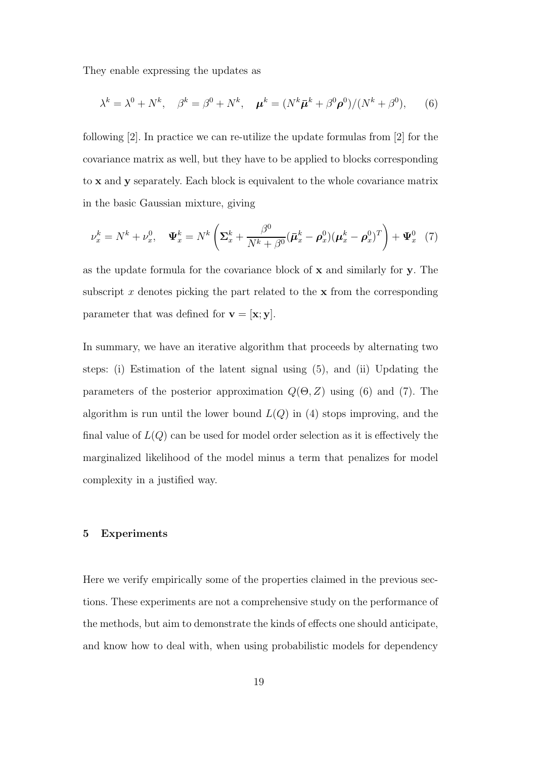They enable expressing the updates as

$$
\lambda^k = \lambda^0 + N^k, \quad \beta^k = \beta^0 + N^k, \quad \boldsymbol{\mu}^k = (N^k \bar{\boldsymbol{\mu}}^k + \beta^0 \boldsymbol{\rho}^0) / (N^k + \beta^0), \qquad (6)
$$

following [2]. In practice we can re-utilize the update formulas from [2] for the covariance matrix as well, but they have to be applied to blocks corresponding to x and y separately. Each block is equivalent to the whole covariance matrix in the basic Gaussian mixture, giving

$$
\nu_x^k = N^k + \nu_x^0, \quad \Psi_x^k = N^k \left( \Sigma_x^k + \frac{\beta^0}{N^k + \beta^0} (\bar{\boldsymbol{\mu}}_x^k - \boldsymbol{\rho}_x^0) (\boldsymbol{\mu}_x^k - \boldsymbol{\rho}_x^0)^T \right) + \Psi_x^0 \quad (7)
$$

as the update formula for the covariance block of x and similarly for y. The subscript x denotes picking the part related to the  $x$  from the corresponding parameter that was defined for  $\mathbf{v} = [\mathbf{x}; \mathbf{y}]$ .

In summary, we have an iterative algorithm that proceeds by alternating two steps: (i) Estimation of the latent signal using (5), and (ii) Updating the parameters of the posterior approximation  $Q(\Theta, Z)$  using (6) and (7). The algorithm is run until the lower bound  $L(Q)$  in (4) stops improving, and the final value of  $L(Q)$  can be used for model order selection as it is effectively the marginalized likelihood of the model minus a term that penalizes for model complexity in a justified way.

#### 5 Experiments

Here we verify empirically some of the properties claimed in the previous sections. These experiments are not a comprehensive study on the performance of the methods, but aim to demonstrate the kinds of effects one should anticipate, and know how to deal with, when using probabilistic models for dependency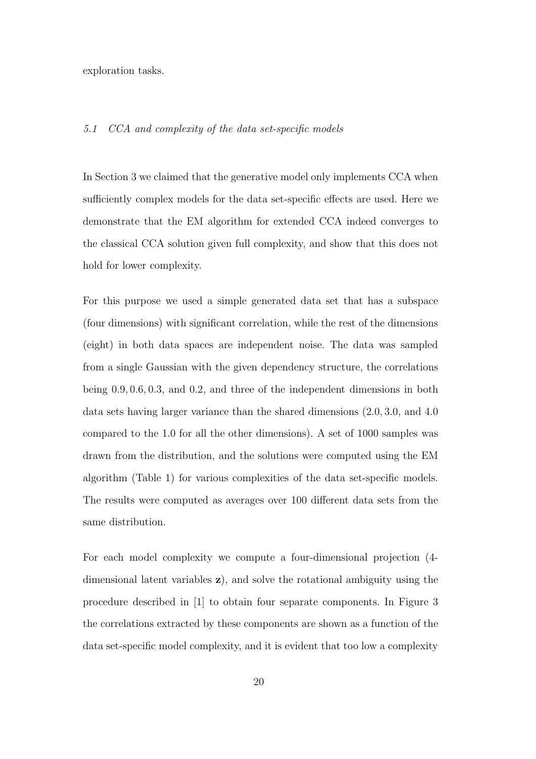exploration tasks.

#### 5.1 CCA and complexity of the data set-specific models

In Section 3 we claimed that the generative model only implements CCA when sufficiently complex models for the data set-specific effects are used. Here we demonstrate that the EM algorithm for extended CCA indeed converges to the classical CCA solution given full complexity, and show that this does not hold for lower complexity.

For this purpose we used a simple generated data set that has a subspace (four dimensions) with significant correlation, while the rest of the dimensions (eight) in both data spaces are independent noise. The data was sampled from a single Gaussian with the given dependency structure, the correlations being 0.9, 0.6, 0.3, and 0.2, and three of the independent dimensions in both data sets having larger variance than the shared dimensions (2.0, 3.0, and 4.0 compared to the 1.0 for all the other dimensions). A set of 1000 samples was drawn from the distribution, and the solutions were computed using the EM algorithm (Table 1) for various complexities of the data set-specific models. The results were computed as averages over 100 different data sets from the same distribution.

For each model complexity we compute a four-dimensional projection (4 dimensional latent variables z), and solve the rotational ambiguity using the procedure described in [1] to obtain four separate components. In Figure 3 the correlations extracted by these components are shown as a function of the data set-specific model complexity, and it is evident that too low a complexity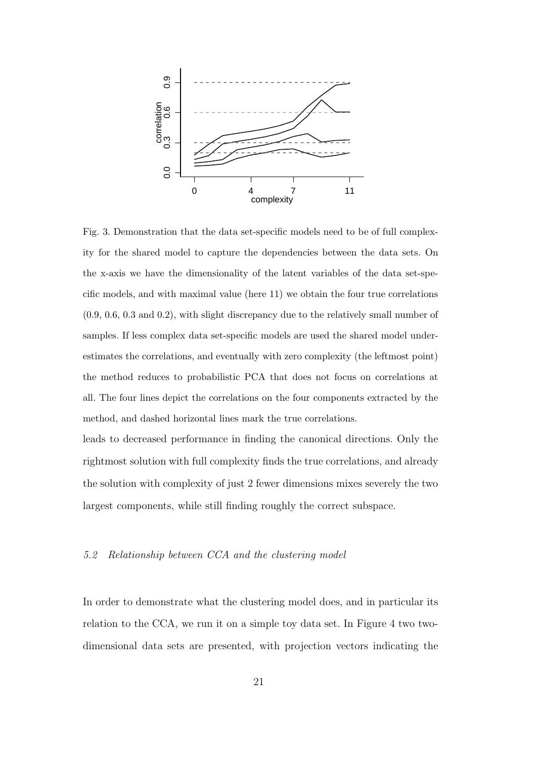

Fig. 3. Demonstration that the data set-specific models need to be of full complexity for the shared model to capture the dependencies between the data sets. On the x-axis we have the dimensionality of the latent variables of the data set-specific models, and with maximal value (here 11) we obtain the four true correlations (0.9, 0.6, 0.3 and 0.2), with slight discrepancy due to the relatively small number of samples. If less complex data set-specific models are used the shared model underestimates the correlations, and eventually with zero complexity (the leftmost point) the method reduces to probabilistic PCA that does not focus on correlations at all. The four lines depict the correlations on the four components extracted by the method, and dashed horizontal lines mark the true correlations.

leads to decreased performance in finding the canonical directions. Only the rightmost solution with full complexity finds the true correlations, and already the solution with complexity of just 2 fewer dimensions mixes severely the two largest components, while still finding roughly the correct subspace.

#### 5.2 Relationship between CCA and the clustering model

In order to demonstrate what the clustering model does, and in particular its relation to the CCA, we run it on a simple toy data set. In Figure 4 two twodimensional data sets are presented, with projection vectors indicating the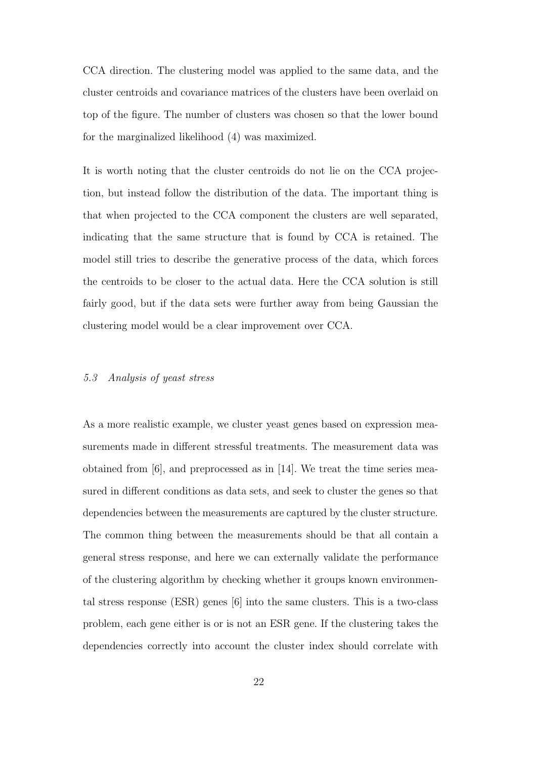CCA direction. The clustering model was applied to the same data, and the cluster centroids and covariance matrices of the clusters have been overlaid on top of the figure. The number of clusters was chosen so that the lower bound for the marginalized likelihood (4) was maximized.

It is worth noting that the cluster centroids do not lie on the CCA projection, but instead follow the distribution of the data. The important thing is that when projected to the CCA component the clusters are well separated, indicating that the same structure that is found by CCA is retained. The model still tries to describe the generative process of the data, which forces the centroids to be closer to the actual data. Here the CCA solution is still fairly good, but if the data sets were further away from being Gaussian the clustering model would be a clear improvement over CCA.

## 5.3 Analysis of yeast stress

As a more realistic example, we cluster yeast genes based on expression measurements made in different stressful treatments. The measurement data was obtained from [6], and preprocessed as in [14]. We treat the time series measured in different conditions as data sets, and seek to cluster the genes so that dependencies between the measurements are captured by the cluster structure. The common thing between the measurements should be that all contain a general stress response, and here we can externally validate the performance of the clustering algorithm by checking whether it groups known environmental stress response (ESR) genes [6] into the same clusters. This is a two-class problem, each gene either is or is not an ESR gene. If the clustering takes the dependencies correctly into account the cluster index should correlate with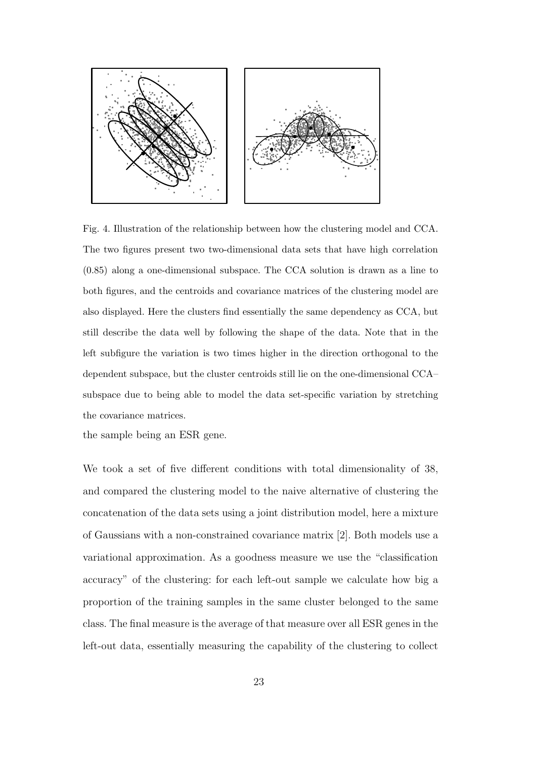

Fig. 4. Illustration of the relationship between how the clustering model and CCA. The two figures present two two-dimensional data sets that have high correlation (0.85) along a one-dimensional subspace. The CCA solution is drawn as a line to both figures, and the centroids and covariance matrices of the clustering model are also displayed. Here the clusters find essentially the same dependency as CCA, but still describe the data well by following the shape of the data. Note that in the left subfigure the variation is two times higher in the direction orthogonal to the dependent subspace, but the cluster centroids still lie on the one-dimensional CCA– subspace due to being able to model the data set-specific variation by stretching the covariance matrices.

the sample being an ESR gene.

We took a set of five different conditions with total dimensionality of 38, and compared the clustering model to the naive alternative of clustering the concatenation of the data sets using a joint distribution model, here a mixture of Gaussians with a non-constrained covariance matrix [2]. Both models use a variational approximation. As a goodness measure we use the "classification accuracy" of the clustering: for each left-out sample we calculate how big a proportion of the training samples in the same cluster belonged to the same class. The final measure is the average of that measure over all ESR genes in the left-out data, essentially measuring the capability of the clustering to collect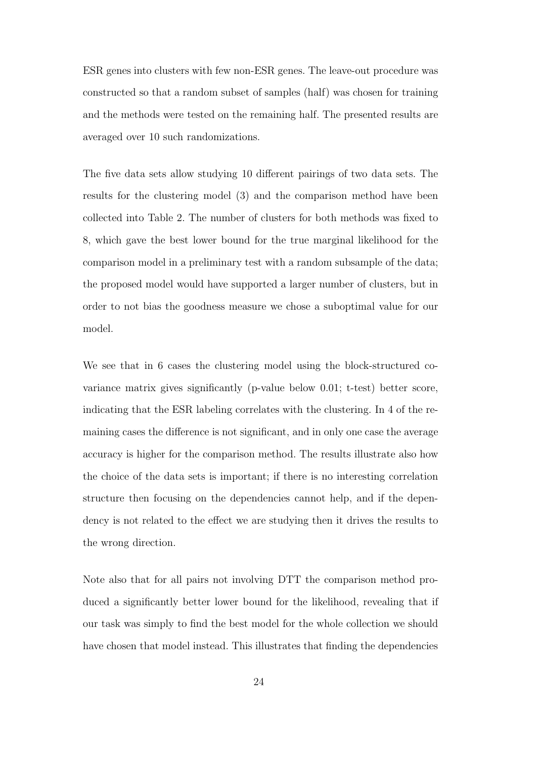ESR genes into clusters with few non-ESR genes. The leave-out procedure was constructed so that a random subset of samples (half) was chosen for training and the methods were tested on the remaining half. The presented results are averaged over 10 such randomizations.

The five data sets allow studying 10 different pairings of two data sets. The results for the clustering model (3) and the comparison method have been collected into Table 2. The number of clusters for both methods was fixed to 8, which gave the best lower bound for the true marginal likelihood for the comparison model in a preliminary test with a random subsample of the data; the proposed model would have supported a larger number of clusters, but in order to not bias the goodness measure we chose a suboptimal value for our model.

We see that in 6 cases the clustering model using the block-structured covariance matrix gives significantly (p-value below 0.01; t-test) better score, indicating that the ESR labeling correlates with the clustering. In 4 of the remaining cases the difference is not significant, and in only one case the average accuracy is higher for the comparison method. The results illustrate also how the choice of the data sets is important; if there is no interesting correlation structure then focusing on the dependencies cannot help, and if the dependency is not related to the effect we are studying then it drives the results to the wrong direction.

Note also that for all pairs not involving DTT the comparison method produced a significantly better lower bound for the likelihood, revealing that if our task was simply to find the best model for the whole collection we should have chosen that model instead. This illustrates that finding the dependencies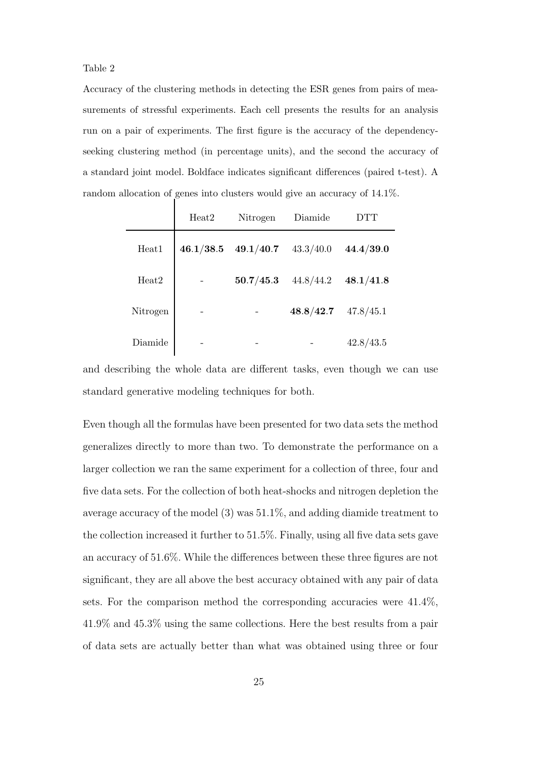Table 2

Accuracy of the clustering methods in detecting the ESR genes from pairs of measurements of stressful experiments. Each cell presents the results for an analysis run on a pair of experiments. The first figure is the accuracy of the dependencyseeking clustering method (in percentage units), and the second the accuracy of a standard joint model. Boldface indicates significant differences (paired t-test). A random allocation of genes into clusters would give an accuracy of 14.1%.

|                   | Heat2     | Nitrogen  | Diamide   |           |
|-------------------|-----------|-----------|-----------|-----------|
| Heat1             | 46.1/38.5 | 49.1/40.7 | 43.3/40.0 | 44.4/39.0 |
| Heat <sub>2</sub> |           | 50.7/45.3 | 44.8/44.2 | 48.1/41.8 |
| Nitrogen          |           |           | 48.8/42.7 | 47.8/45.1 |
| Diamide           |           |           |           | 42.8/43.5 |

and describing the whole data are different tasks, even though we can use standard generative modeling techniques for both.

Even though all the formulas have been presented for two data sets the method generalizes directly to more than two. To demonstrate the performance on a larger collection we ran the same experiment for a collection of three, four and five data sets. For the collection of both heat-shocks and nitrogen depletion the average accuracy of the model (3) was 51.1%, and adding diamide treatment to the collection increased it further to 51.5%. Finally, using all five data sets gave an accuracy of 51.6%. While the differences between these three figures are not significant, they are all above the best accuracy obtained with any pair of data sets. For the comparison method the corresponding accuracies were 41.4%, 41.9% and 45.3% using the same collections. Here the best results from a pair of data sets are actually better than what was obtained using three or four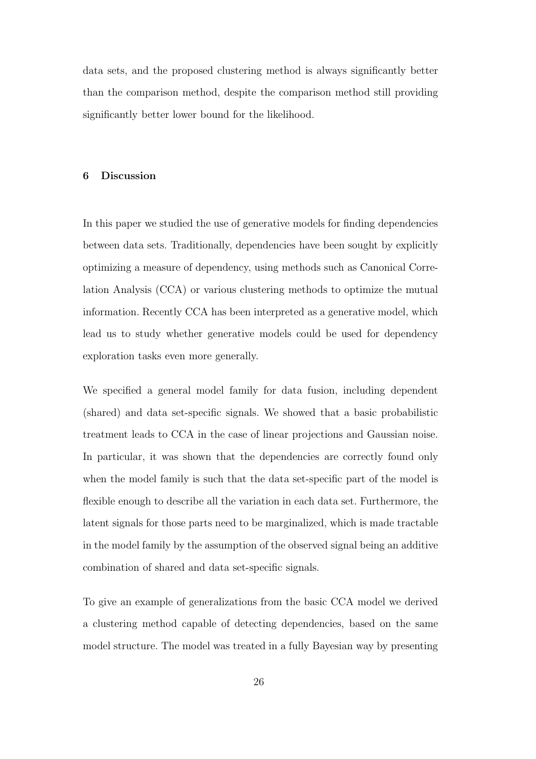data sets, and the proposed clustering method is always significantly better than the comparison method, despite the comparison method still providing significantly better lower bound for the likelihood.

#### 6 Discussion

In this paper we studied the use of generative models for finding dependencies between data sets. Traditionally, dependencies have been sought by explicitly optimizing a measure of dependency, using methods such as Canonical Correlation Analysis (CCA) or various clustering methods to optimize the mutual information. Recently CCA has been interpreted as a generative model, which lead us to study whether generative models could be used for dependency exploration tasks even more generally.

We specified a general model family for data fusion, including dependent (shared) and data set-specific signals. We showed that a basic probabilistic treatment leads to CCA in the case of linear projections and Gaussian noise. In particular, it was shown that the dependencies are correctly found only when the model family is such that the data set-specific part of the model is flexible enough to describe all the variation in each data set. Furthermore, the latent signals for those parts need to be marginalized, which is made tractable in the model family by the assumption of the observed signal being an additive combination of shared and data set-specific signals.

To give an example of generalizations from the basic CCA model we derived a clustering method capable of detecting dependencies, based on the same model structure. The model was treated in a fully Bayesian way by presenting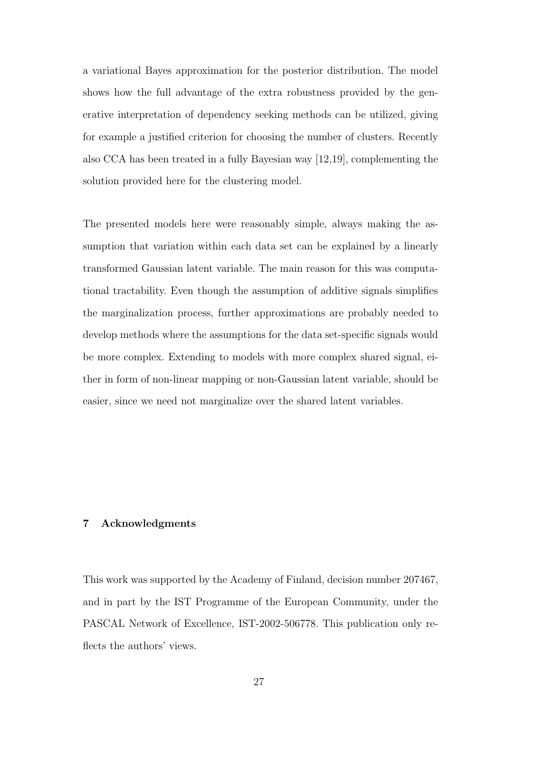a variational Bayes approximation for the posterior distribution. The model shows how the full advantage of the extra robustness provided by the generative interpretation of dependency seeking methods can be utilized, giving for example a justified criterion for choosing the number of clusters. Recently also CCA has been treated in a fully Bayesian way [12,19], complementing the solution provided here for the clustering model.

The presented models here were reasonably simple, always making the assumption that variation within each data set can be explained by a linearly transformed Gaussian latent variable. The main reason for this was computational tractability. Even though the assumption of additive signals simplifies the marginalization process, further approximations are probably needed to develop methods where the assumptions for the data set-specific signals would be more complex. Extending to models with more complex shared signal, either in form of non-linear mapping or non-Gaussian latent variable, should be easier, since we need not marginalize over the shared latent variables.

## 7 Acknowledgments

This work was supported by the Academy of Finland, decision number 207467, and in part by the IST Programme of the European Community, under the PASCAL Network of Excellence, IST-2002-506778. This publication only reflects the authors' views.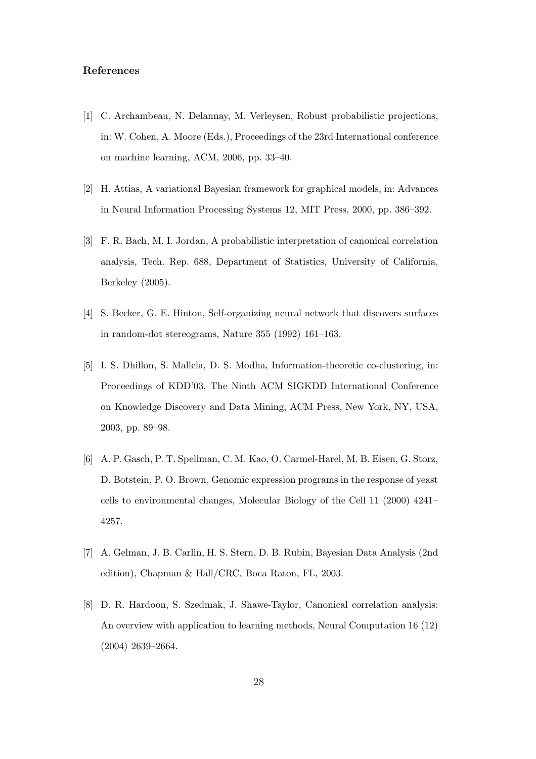### References

- [1] C. Archambeau, N. Delannay, M. Verleysen, Robust probabilistic projections, in: W. Cohen, A. Moore (Eds.), Proceedings of the 23rd International conference on machine learning, ACM, 2006, pp. 33–40.
- [2] H. Attias, A variational Bayesian framework for graphical models, in: Advances in Neural Information Processing Systems 12, MIT Press, 2000, pp. 386–392.
- [3] F. R. Bach, M. I. Jordan, A probabilistic interpretation of canonical correlation analysis, Tech. Rep. 688, Department of Statistics, University of California, Berkeley (2005).
- [4] S. Becker, G. E. Hinton, Self-organizing neural network that discovers surfaces in random-dot stereograms, Nature 355 (1992) 161–163.
- [5] I. S. Dhillon, S. Mallela, D. S. Modha, Information-theoretic co-clustering, in: Proceedings of KDD'03, The Ninth ACM SIGKDD International Conference on Knowledge Discovery and Data Mining, ACM Press, New York, NY, USA, 2003, pp. 89–98.
- [6] A. P. Gasch, P. T. Spellman, C. M. Kao, O. Carmel-Harel, M. B. Eisen, G. Storz, D. Botstein, P. O. Brown, Genomic expression programs in the response of yeast cells to environmental changes, Molecular Biology of the Cell 11 (2000) 4241– 4257.
- [7] A. Gelman, J. B. Carlin, H. S. Stern, D. B. Rubin, Bayesian Data Analysis (2nd edition), Chapman & Hall/CRC, Boca Raton, FL, 2003.
- [8] D. R. Hardoon, S. Szedmak, J. Shawe-Taylor, Canonical correlation analysis: An overview with application to learning methods, Neural Computation 16 (12) (2004) 2639–2664.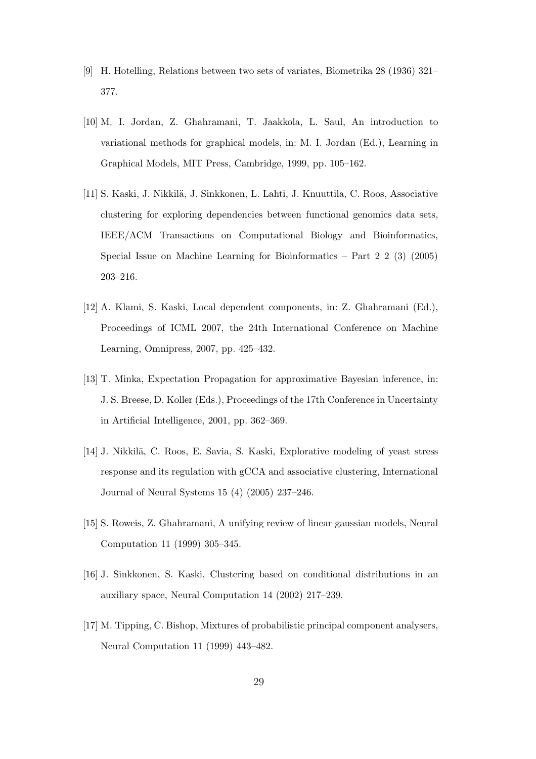- [9] H. Hotelling, Relations between two sets of variates, Biometrika 28 (1936) 321– 377.
- [10] M. I. Jordan, Z. Ghahramani, T. Jaakkola, L. Saul, An introduction to variational methods for graphical models, in: M. I. Jordan (Ed.), Learning in Graphical Models, MIT Press, Cambridge, 1999, pp. 105–162.
- [11] S. Kaski, J. Nikkil¨a, J. Sinkkonen, L. Lahti, J. Knuuttila, C. Roos, Associative clustering for exploring dependencies between functional genomics data sets, IEEE/ACM Transactions on Computational Biology and Bioinformatics, Special Issue on Machine Learning for Bioinformatics – Part  $2\ 2\ (3)\ (2005)$ 203–216.
- [12] A. Klami, S. Kaski, Local dependent components, in: Z. Ghahramani (Ed.), Proceedings of ICML 2007, the 24th International Conference on Machine Learning, Omnipress, 2007, pp. 425–432.
- [13] T. Minka, Expectation Propagation for approximative Bayesian inference, in: J. S. Breese, D. Koller (Eds.), Proceedings of the 17th Conference in Uncertainty in Artificial Intelligence, 2001, pp. 362–369.
- [14] J. Nikkilä, C. Roos, E. Savia, S. Kaski, Explorative modeling of yeast stress response and its regulation with gCCA and associative clustering, International Journal of Neural Systems 15 (4) (2005) 237–246.
- [15] S. Roweis, Z. Ghahramani, A unifying review of linear gaussian models, Neural Computation 11 (1999) 305–345.
- [16] J. Sinkkonen, S. Kaski, Clustering based on conditional distributions in an auxiliary space, Neural Computation 14 (2002) 217–239.
- [17] M. Tipping, C. Bishop, Mixtures of probabilistic principal component analysers, Neural Computation 11 (1999) 443–482.